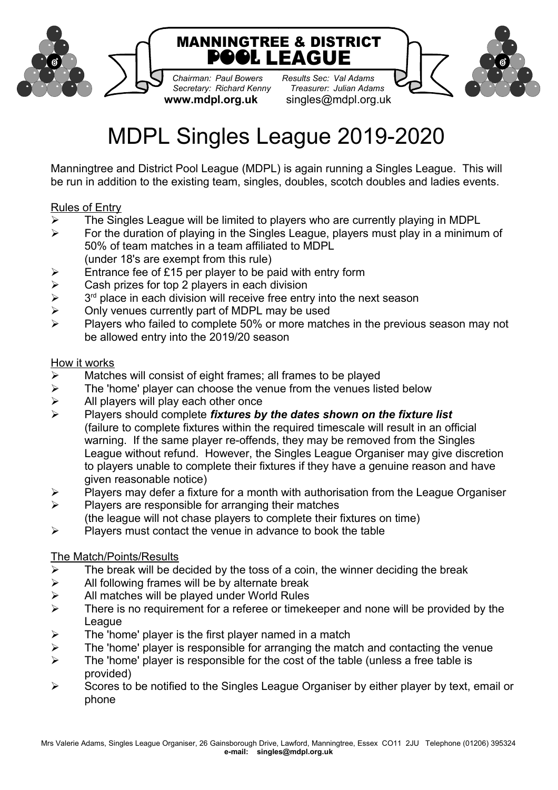

*Chairman: Paul Bowers Results Sec: Val Adams Secretary: Richard Kenny* 

**www.mdpl.org.uk** singles@mdpl.org.uk



# MDPL Singles League 2019-2020

Manningtree and District Pool League (MDPL) is again running a Singles League. This will be run in addition to the existing team, singles, doubles, scotch doubles and ladies events.

# Rules of Entry

- $\triangleright$  The Singles League will be limited to players who are currently playing in MDPL
- $\triangleright$  For the duration of playing in the Singles League, players must play in a minimum of 50% of team matches in a team affiliated to MDPL (under 18's are exempt from this rule)
- 
- Entrance fee of £15 per player to be paid with entry form<br>  $\ge$  Cash prizes for top 2 players in each division Cash prizes for top 2 players in each division
- $\blacktriangleright$  $3<sup>rd</sup>$  place in each division will receive free entry into the next season
- $\triangleright$  Only venues currently part of MDPL may be used
- $\triangleright$  Players who failed to complete 50% or more matches in the previous season may not be allowed entry into the 2019/20 season

## How it works

- $\triangleright$  Matches will consist of eight frames; all frames to be played
- $\ge$  The 'home' player can choose the venue from the venues listed below  $\ge$  All players will play each other once
- All players will play each other once
- Players should complete *fixtures by the dates shown on the fixture list* (failure to complete fixtures within the required timescale will result in an official warning. If the same player re-offends, they may be removed from the Singles League without refund. However, the Singles League Organiser may give discretion to players unable to complete their fixtures if they have a genuine reason and have given reasonable notice)
- $\triangleright$  Players may defer a fixture for a month with authorisation from the League Organiser
- $\triangleright$  Players are responsible for arranging their matches
- (the league will not chase players to complete their fixtures on time)
- $\triangleright$  Players must contact the venue in advance to book the table

## The Match/Points/Results

- $\triangleright$  The break will be decided by the toss of a coin, the winner deciding the break
- $\triangleright$  All following frames will be by alternate break
- $\triangleright$  All matches will be played under World Rules
- $\triangleright$  There is no requirement for a referee or timekeeper and none will be provided by the League
- $\triangleright$  The 'home' player is the first player named in a match
- $\triangleright$  The 'home' player is responsible for arranging the match and contacting the venue
- $\triangleright$  The 'home' player is responsible for the cost of the table (unless a free table is provided)
- $\triangleright$  Scores to be notified to the Singles League Organiser by either player by text, email or phone